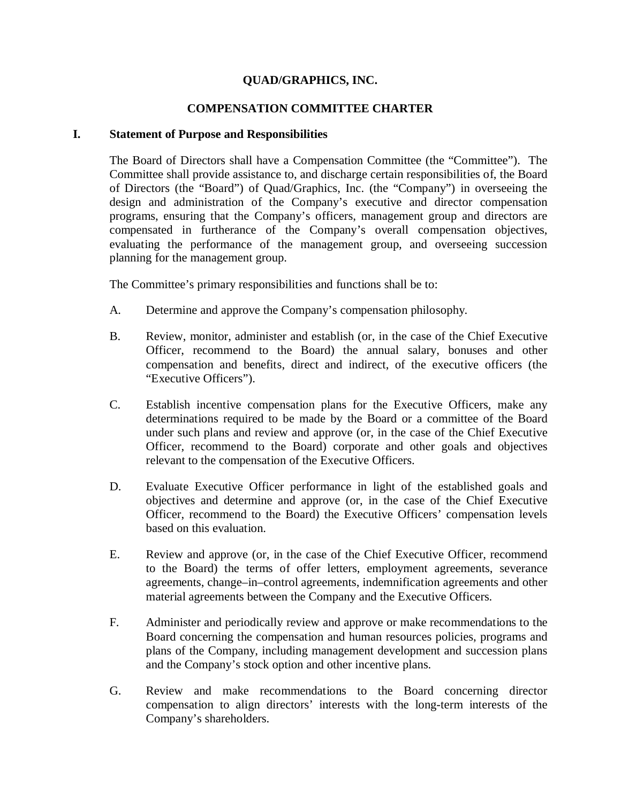# **QUAD/GRAPHICS, INC.**

#### **COMPENSATION COMMITTEE CHARTER**

#### **I. Statement of Purpose and Responsibilities**

The Board of Directors shall have a Compensation Committee (the "Committee"). The Committee shall provide assistance to, and discharge certain responsibilities of, the Board of Directors (the "Board") of Quad/Graphics, Inc. (the "Company") in overseeing the design and administration of the Company's executive and director compensation programs, ensuring that the Company's officers, management group and directors are compensated in furtherance of the Company's overall compensation objectives, evaluating the performance of the management group, and overseeing succession planning for the management group.

The Committee's primary responsibilities and functions shall be to:

- A. Determine and approve the Company's compensation philosophy.
- B. Review, monitor, administer and establish (or, in the case of the Chief Executive Officer, recommend to the Board) the annual salary, bonuses and other compensation and benefits, direct and indirect, of the executive officers (the "Executive Officers").
- C. Establish incentive compensation plans for the Executive Officers, make any determinations required to be made by the Board or a committee of the Board under such plans and review and approve (or, in the case of the Chief Executive Officer, recommend to the Board) corporate and other goals and objectives relevant to the compensation of the Executive Officers.
- D. Evaluate Executive Officer performance in light of the established goals and objectives and determine and approve (or, in the case of the Chief Executive Officer, recommend to the Board) the Executive Officers' compensation levels based on this evaluation.
- E. Review and approve (or, in the case of the Chief Executive Officer, recommend to the Board) the terms of offer letters, employment agreements, severance agreements, change–in–control agreements, indemnification agreements and other material agreements between the Company and the Executive Officers.
- F. Administer and periodically review and approve or make recommendations to the Board concerning the compensation and human resources policies, programs and plans of the Company, including management development and succession plans and the Company's stock option and other incentive plans.
- G. Review and make recommendations to the Board concerning director compensation to align directors' interests with the long-term interests of the Company's shareholders.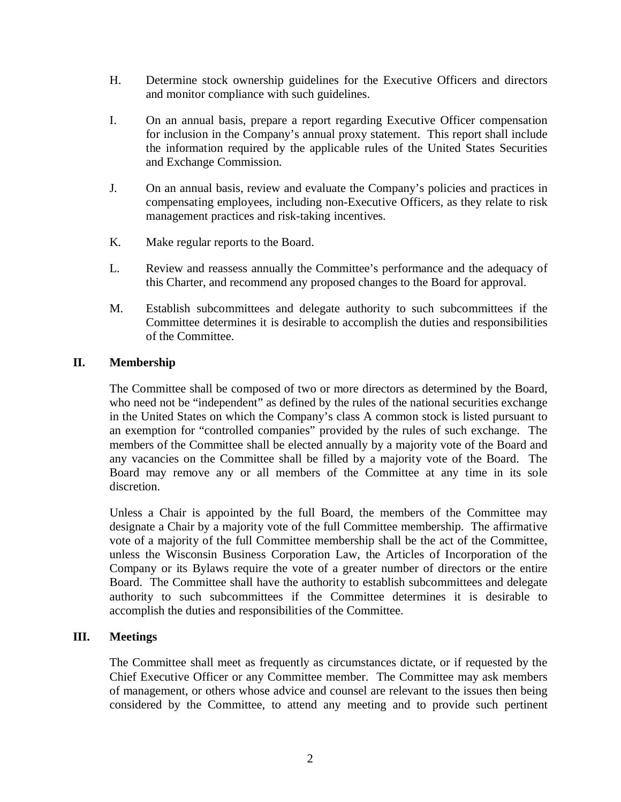- H. Determine stock ownership guidelines for the Executive Officers and directors and monitor compliance with such guidelines.
- I. On an annual basis, prepare a report regarding Executive Officer compensation for inclusion in the Company's annual proxy statement. This report shall include the information required by the applicable rules of the United States Securities and Exchange Commission.
- J. On an annual basis, review and evaluate the Company's policies and practices in compensating employees, including non-Executive Officers, as they relate to risk management practices and risk-taking incentives.
- K. Make regular reports to the Board.
- L. Review and reassess annually the Committee's performance and the adequacy of this Charter, and recommend any proposed changes to the Board for approval.
- M. Establish subcommittees and delegate authority to such subcommittees if the Committee determines it is desirable to accomplish the duties and responsibilities of the Committee.

# **II. Membership**

The Committee shall be composed of two or more directors as determined by the Board, who need not be "independent" as defined by the rules of the national securities exchange in the United States on which the Company's class A common stock is listed pursuant to an exemption for "controlled companies" provided by the rules of such exchange. The members of the Committee shall be elected annually by a majority vote of the Board and any vacancies on the Committee shall be filled by a majority vote of the Board. The Board may remove any or all members of the Committee at any time in its sole discretion.

Unless a Chair is appointed by the full Board, the members of the Committee may designate a Chair by a majority vote of the full Committee membership. The affirmative vote of a majority of the full Committee membership shall be the act of the Committee, unless the Wisconsin Business Corporation Law, the Articles of Incorporation of the Company or its Bylaws require the vote of a greater number of directors or the entire Board. The Committee shall have the authority to establish subcommittees and delegate authority to such subcommittees if the Committee determines it is desirable to accomplish the duties and responsibilities of the Committee.

#### **III. Meetings**

The Committee shall meet as frequently as circumstances dictate, or if requested by the Chief Executive Officer or any Committee member. The Committee may ask members of management, or others whose advice and counsel are relevant to the issues then being considered by the Committee, to attend any meeting and to provide such pertinent